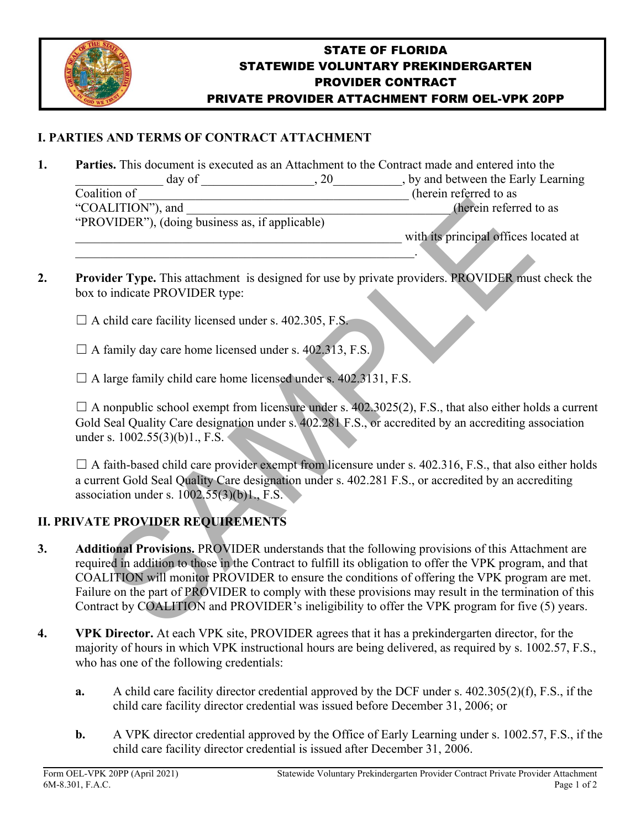

## STATE OF FLORIDA STATEWIDE VOLUNTARY PREKINDERGARTEN PROVIDER CONTRACT PRIVATE PROVIDER ATTACHMENT FORM OEL-VPK 20PP

## **I. PARTIES AND TERMS OF CONTRACT ATTACHMENT**

- **1. Parties.** This document is executed as an Attachment to the Contract made and entered into the day of  $\qquad \qquad , 20$   $\qquad \qquad ,$  by and between the Early Learning Coalition of  $\Box$  (herein referred to as "COALITION"), and  $(herein referred to as$ "PROVIDER"), (doing business as, if applicable) with its principal offices located at
- **2.** Provider Type. This attachment is designed for use by private providers. PROVIDER must check the box to indicate PROVIDER type:
	- $\Box$  A child care facility licensed under s. 402.305, F.S.
	- $\Box$  A family day care home licensed under s. 402.313, F.S.
	- $\Box$  A large family child care home licensed under s. 402.3131, F.S.

 $\mathcal{L}_\text{max} = \mathcal{L}_\text{max} = \mathcal{L}_\text{max} = \mathcal{L}_\text{max} = \mathcal{L}_\text{max} = \mathcal{L}_\text{max} = \mathcal{L}_\text{max} = \mathcal{L}_\text{max} = \mathcal{L}_\text{max} = \mathcal{L}_\text{max} = \mathcal{L}_\text{max} = \mathcal{L}_\text{max} = \mathcal{L}_\text{max} = \mathcal{L}_\text{max} = \mathcal{L}_\text{max} = \mathcal{L}_\text{max} = \mathcal{L}_\text{max} = \mathcal{L}_\text{max} = \mathcal{$ 

 $\Box$  A nonpublic school exempt from licensure under s. 402.3025(2), F.S., that also either holds a current Gold Seal Quality Care designation under s. 402.281 F.S., or accredited by an accrediting association under s. 1002.55(3)(b)1., F.S.

 $\Box$  A faith-based child care provider exempt from licensure under s. 402.316, F.S., that also either holds a current Gold Seal Quality Care designation under s. 402.281 F.S., or accredited by an accrediting association under s. 1002.55(3)(b)1., F.S.

## **II. PRIVATE PROVIDER REQUIREMENTS**

- **3. Additional Provisions.** PROVIDER understands that the following provisions of this Attachment are required in addition to those in the Contract to fulfill its obligation to offer the VPK program, and that COALITION will monitor PROVIDER to ensure the conditions of offering the VPK program are met. Failure on the part of PROVIDER to comply with these provisions may result in the termination of this Contract by COALITION and PROVIDER's ineligibility to offer the VPK program for five (5) years. MLITION"), and<br>
(notation"), (doing business as, if applicable)<br>
(hordin referred<br>
with its principal offices left<br>
uder Type. This attachment is designed for use by private providers. PROVIDER must<br>
co indicate PROVIDER t
- **4. VPK Director.** At each VPK site, PROVIDER agrees that it has a prekindergarten director, for the majority of hours in which VPK instructional hours are being delivered, as required by s. 1002.57, F.S., who has one of the following credentials:
	- **a.** A child care facility director credential approved by the DCF under s. 402.305(2)(f), F.S., if the child care facility director credential was issued before December 31, 2006; or
	- **b.** A VPK director credential approved by the Office of Early Learning under s. 1002.57, F.S., if the child care facility director credential is issued after December 31, 2006.